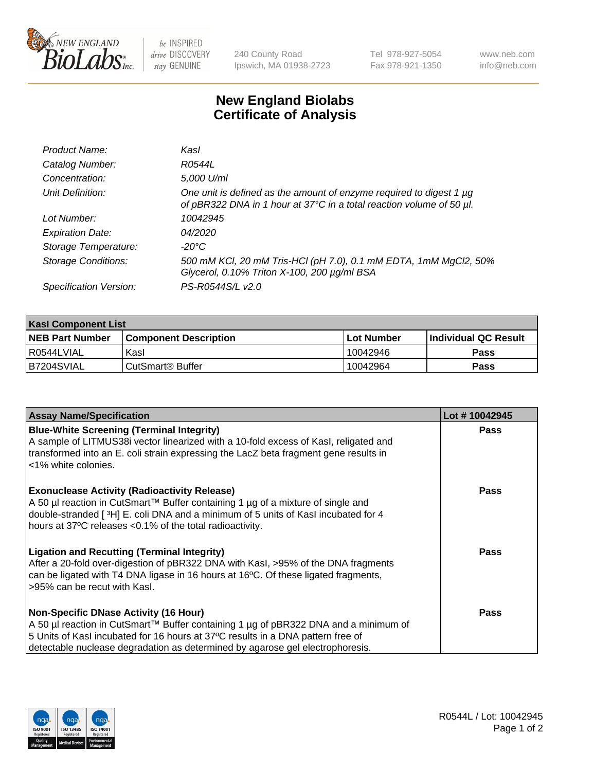

be INSPIRED drive DISCOVERY stay GENUINE

240 County Road Ipswich, MA 01938-2723 Tel 978-927-5054 Fax 978-921-1350 www.neb.com info@neb.com

## **New England Biolabs Certificate of Analysis**

| Product Name:              | Kasl                                                                                                                                             |
|----------------------------|--------------------------------------------------------------------------------------------------------------------------------------------------|
| Catalog Number:            | R0544L                                                                                                                                           |
| Concentration:             | 5,000 U/ml                                                                                                                                       |
| Unit Definition:           | One unit is defined as the amount of enzyme required to digest 1 $\mu$ g<br>of pBR322 DNA in 1 hour at 37°C in a total reaction volume of 50 µl. |
| Lot Number:                | 10042945                                                                                                                                         |
| <b>Expiration Date:</b>    | 04/2020                                                                                                                                          |
| Storage Temperature:       | $-20^{\circ}$ C                                                                                                                                  |
| <b>Storage Conditions:</b> | 500 mM KCl, 20 mM Tris-HCl (pH 7.0), 0.1 mM EDTA, 1mM MgCl2, 50%<br>Glycerol, 0.10% Triton X-100, 200 µg/ml BSA                                  |
| Specification Version:     | PS-R0544S/L v2.0                                                                                                                                 |

| <b>Kasl Component List</b> |                              |                   |                             |  |  |
|----------------------------|------------------------------|-------------------|-----------------------------|--|--|
| <b>NEB Part Number</b>     | <b>Component Description</b> | <b>Lot Number</b> | <b>Individual QC Result</b> |  |  |
| I R0544LVIAL               | Kasl                         | 10042946          | <b>Pass</b>                 |  |  |
| B7204SVIAL                 | l CutSmart® Buffer           | 10042964          | Pass                        |  |  |

| <b>Assay Name/Specification</b>                                                                                                                                                                                                                                                                         | Lot #10042945 |
|---------------------------------------------------------------------------------------------------------------------------------------------------------------------------------------------------------------------------------------------------------------------------------------------------------|---------------|
| <b>Blue-White Screening (Terminal Integrity)</b><br>A sample of LITMUS38i vector linearized with a 10-fold excess of Kasl, religated and<br>transformed into an E. coli strain expressing the LacZ beta fragment gene results in<br><1% white colonies.                                                 | <b>Pass</b>   |
| <b>Exonuclease Activity (Radioactivity Release)</b><br>A 50 µl reaction in CutSmart™ Buffer containing 1 µg of a mixture of single and<br>double-stranded [3H] E. coli DNA and a minimum of 5 units of Kasl incubated for 4<br>hours at 37°C releases <0.1% of the total radioactivity.                 | <b>Pass</b>   |
| <b>Ligation and Recutting (Terminal Integrity)</b><br>After a 20-fold over-digestion of pBR322 DNA with Kasl, >95% of the DNA fragments<br>can be ligated with T4 DNA ligase in 16 hours at 16°C. Of these ligated fragments,<br>>95% can be recut with Kasl.                                           | Pass          |
| <b>Non-Specific DNase Activity (16 Hour)</b><br>A 50 µl reaction in CutSmart™ Buffer containing 1 µg of pBR322 DNA and a minimum of<br>5 Units of Kasl incubated for 16 hours at 37°C results in a DNA pattern free of<br>detectable nuclease degradation as determined by agarose gel electrophoresis. | Pass          |